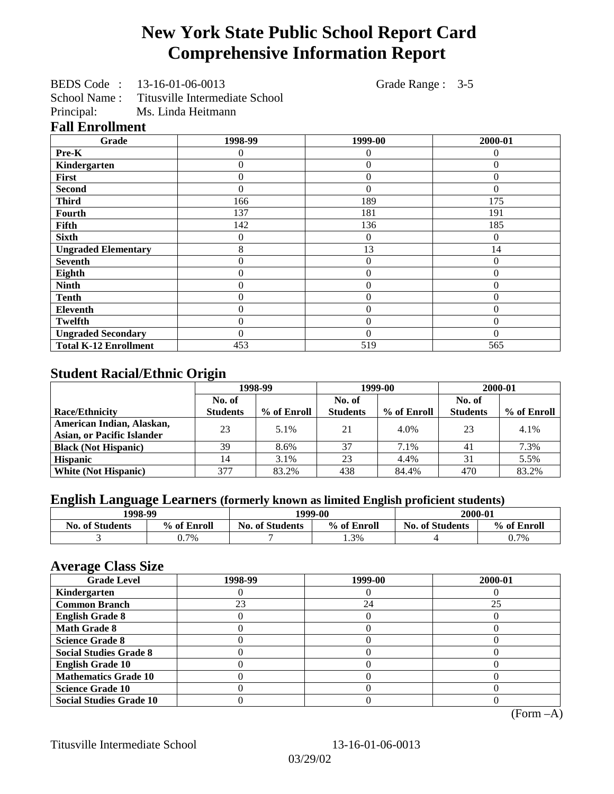# **New York State Public School Report Card Comprehensive Information Report**

BEDS Code : 13-16-01-06-0013 Grade Range : 3-5

School Name : Titusville Intermediate School

Principal: Ms. Linda Heitmann

## **Fall Enrollment**

| Grade                        | 1998-99        | 1999-00        | 2000-01  |
|------------------------------|----------------|----------------|----------|
| Pre-K                        | 0              | 0              | 0        |
| Kindergarten                 | 0              | $\theta$       | $\Omega$ |
| First                        | 0              | $\theta$       | $\Omega$ |
| <b>Second</b>                | 0              | $\theta$       | $\Omega$ |
| <b>Third</b>                 | 166            | 189            | 175      |
| Fourth                       | 137            | 181            | 191      |
| Fifth                        | 142            | 136            | 185      |
| <b>Sixth</b>                 | 0              | $\overline{0}$ | $\Omega$ |
| <b>Ungraded Elementary</b>   | 8              | 13             | 14       |
| <b>Seventh</b>               | $\overline{0}$ | $\overline{0}$ | $\theta$ |
| Eighth                       | $\theta$       | $\theta$       | $\Omega$ |
| <b>Ninth</b>                 | 0              | $\overline{0}$ | $\theta$ |
| <b>Tenth</b>                 | 0              | $\overline{0}$ | $\theta$ |
| <b>Eleventh</b>              | 0              | $\overline{0}$ | $\Omega$ |
| <b>Twelfth</b>               | 0              | $\overline{0}$ | $\theta$ |
| <b>Ungraded Secondary</b>    | 0              | $\Omega$       | $\Omega$ |
| <b>Total K-12 Enrollment</b> | 453            | 519            | 565      |

# **Student Racial/Ethnic Origin**

|                                   | 1998-99         |             | 1999-00         |             | 2000-01         |             |
|-----------------------------------|-----------------|-------------|-----------------|-------------|-----------------|-------------|
|                                   | No. of          |             | No. of          |             | No. of          |             |
| <b>Race/Ethnicity</b>             | <b>Students</b> | % of Enroll | <b>Students</b> | % of Enroll | <b>Students</b> | % of Enroll |
| American Indian, Alaskan,         | 23              | 5.1%        | 21              | 4.0%        | 23              | 4.1%        |
| <b>Asian, or Pacific Islander</b> |                 |             |                 |             |                 |             |
| <b>Black (Not Hispanic)</b>       | 39              | 8.6%        | 37              | 7.1%        | 41              | 7.3%        |
| <b>Hispanic</b>                   | 14              | 3.1%        | 23              | 4.4%        | 31              | 5.5%        |
| <b>White (Not Hispanic)</b>       | 377             | 83.2%       | 438             | 84.4%       | 470             | 83.2%       |

# **English Language Learners (formerly known as limited English proficient students)**

| 1998-99                |             | 1999-00                |             | 2000-01                |             |
|------------------------|-------------|------------------------|-------------|------------------------|-------------|
| <b>No. of Students</b> | % of Enroll | <b>No. of Students</b> | % of Enroll | <b>No. of Students</b> | % of Enroll |
|                        | $0.7\%$     |                        | 1.3%        |                        | 0.7%        |

#### **Average Class Size**

| <b>Grade Level</b>             | 1998-99 | 1999-00 | 2000-01 |
|--------------------------------|---------|---------|---------|
| Kindergarten                   |         |         |         |
| <b>Common Branch</b>           | 23      | 24      | 25      |
| <b>English Grade 8</b>         |         |         |         |
| <b>Math Grade 8</b>            |         |         |         |
| <b>Science Grade 8</b>         |         |         |         |
| <b>Social Studies Grade 8</b>  |         |         |         |
| <b>English Grade 10</b>        |         |         |         |
| <b>Mathematics Grade 10</b>    |         |         |         |
| <b>Science Grade 10</b>        |         |         |         |
| <b>Social Studies Grade 10</b> |         |         |         |

(Form –A)